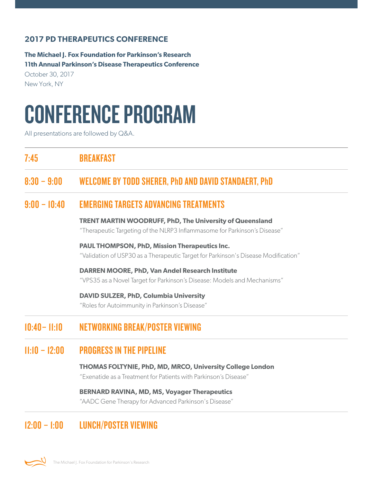#### **2017 PD THERAPEUTICS CONFERENCE**

**The Michael J. Fox Foundation for Parkinson's Research 11th Annual Parkinson's Disease Therapeutics Conference**

October 30, 2017 New York, NY

# CONFERENCE PROGRAM

All presentations are followed by Q&A.

7:45 BREAKFAST

8:30 – 9:00 WELCOME BY TODD SHERER, PhD AND DAVID STANDAERT, PhD

#### 9:00 – 10:40 EMERGING TARGETS ADVANCING TREATMENTS

**TRENT MARTIN WOODRUFF, PhD, The University of Queensland**  "Therapeutic Targeting of the NLRP3 Inflammasome for Parkinson's Disease"

**PAUL THOMPSON, PhD, Mission Therapeutics Inc.** "Validation of USP30 as a Therapeutic Target for Parkinson's Disease Modification"

**DARREN MOORE, PhD, Van Andel Research Institute** "VPS35 as a Novel Target for Parkinson's Disease: Models and Mechanisms"

**DAVID SULZER, PhD, Columbia University** 

"Roles for Autoimmunity in Parkinson's Disease"

### 10:40– 11:10 NETWORKING BREAK/POSTER VIEWING

### 11:10 – 12:00 PROGRESS IN THE PIPELINE

**THOMAS FOLTYNIE, PhD, MD, MRCO, University College London** "Exenatide as a Treatment for Patients with Parkinson's Disease"

**BERNARD RAVINA, MD, MS, Voyager Therapeutics**

"AADC Gene Therapy for Advanced Parkinson's Disease"

# 12:00 – 1:00 LUNCH/POSTER VIEWING